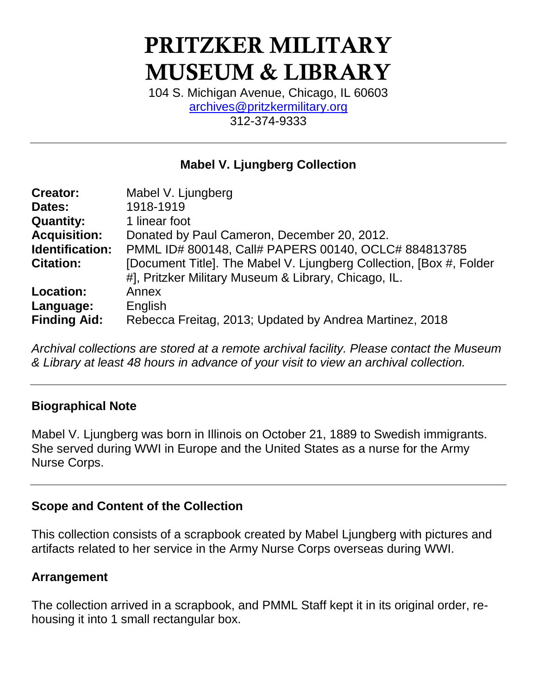# PRITZKER MILITARY MUSEUM & LIBRARY

104 S. Michigan Avenue, Chicago, IL 60603 [archives@pritzkermilitary.org](mailto:archives@pritzkermilitary.org) 312-374-9333

## **Mabel V. Ljungberg Collection**

| <b>Creator:</b>        | Mabel V. Ljungberg                                                                                                          |
|------------------------|-----------------------------------------------------------------------------------------------------------------------------|
| Dates:                 | 1918-1919                                                                                                                   |
| <b>Quantity:</b>       | 1 linear foot                                                                                                               |
| <b>Acquisition:</b>    | Donated by Paul Cameron, December 20, 2012.                                                                                 |
| <b>Identification:</b> | PMML ID# 800148, Call# PAPERS 00140, OCLC# 884813785                                                                        |
| <b>Citation:</b>       | [Document Title]. The Mabel V. Ljungberg Collection, [Box #, Folder<br>#], Pritzker Military Museum & Library, Chicago, IL. |
| <b>Location:</b>       | Annex                                                                                                                       |
| Language:              | English                                                                                                                     |
| <b>Finding Aid:</b>    | Rebecca Freitag, 2013; Updated by Andrea Martinez, 2018                                                                     |

*Archival collections are stored at a remote archival facility. Please contact the Museum & Library at least 48 hours in advance of your visit to view an archival collection.*

### **Biographical Note**

Mabel V. Ljungberg was born in Illinois on October 21, 1889 to Swedish immigrants. She served during WWI in Europe and the United States as a nurse for the Army Nurse Corps.

## **Scope and Content of the Collection**

This collection consists of a scrapbook created by Mabel Ljungberg with pictures and artifacts related to her service in the Army Nurse Corps overseas during WWI.

### **Arrangement**

The collection arrived in a scrapbook, and PMML Staff kept it in its original order, rehousing it into 1 small rectangular box.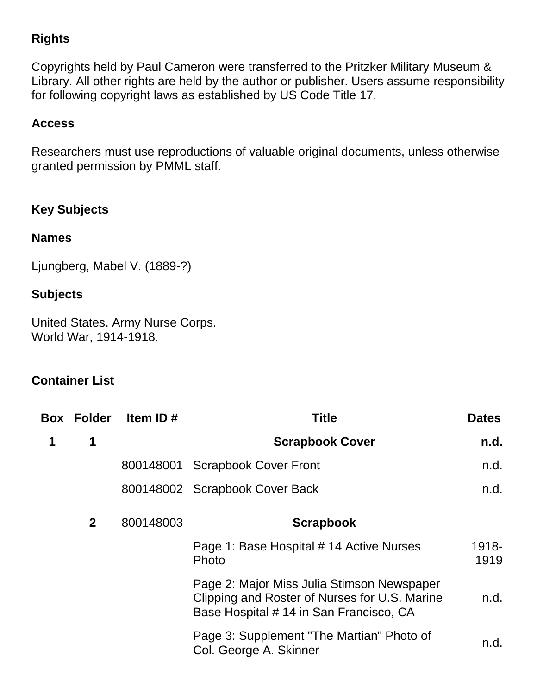# **Rights**

Copyrights held by Paul Cameron were transferred to the Pritzker Military Museum & Library. All other rights are held by the author or publisher. Users assume responsibility for following copyright laws as established by US Code Title 17.

## **Access**

Researchers must use reproductions of valuable original documents, unless otherwise granted permission by PMML staff.

## **Key Subjects**

#### **Names**

Ljungberg, Mabel V. (1889-?)

#### **Subjects**

United States. Army Nurse Corps. World War, 1914-1918.

### **Container List**

|   | <b>Box Folder</b> | Item ID#  | <b>Title</b>                                                                                                                           | <b>Dates</b>  |
|---|-------------------|-----------|----------------------------------------------------------------------------------------------------------------------------------------|---------------|
| 1 | 1                 |           | <b>Scrapbook Cover</b>                                                                                                                 | n.d.          |
|   |                   | 800148001 | <b>Scrapbook Cover Front</b>                                                                                                           | n.d.          |
|   |                   |           | 800148002 Scrapbook Cover Back                                                                                                         | n.d.          |
|   | $\mathbf{2}$      | 800148003 | <b>Scrapbook</b>                                                                                                                       |               |
|   |                   |           | Page 1: Base Hospital # 14 Active Nurses<br>Photo                                                                                      | 1918-<br>1919 |
|   |                   |           | Page 2: Major Miss Julia Stimson Newspaper<br>Clipping and Roster of Nurses for U.S. Marine<br>Base Hospital # 14 in San Francisco, CA | n.d.          |
|   |                   |           | Page 3: Supplement "The Martian" Photo of<br>Col. George A. Skinner                                                                    | n.d.          |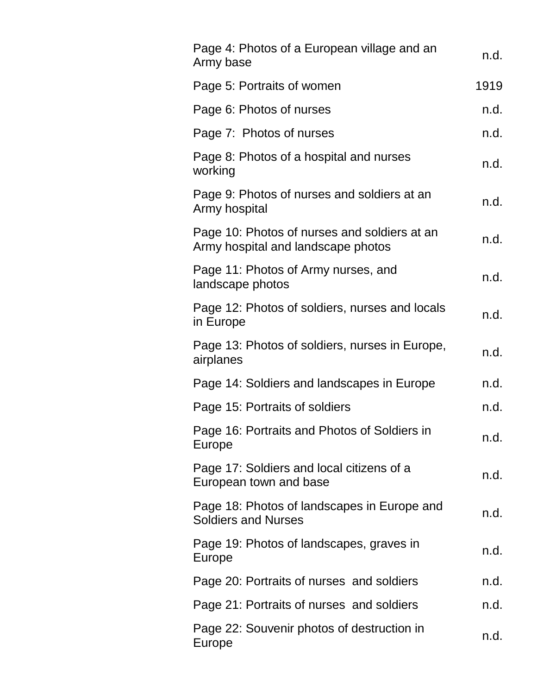| Page 4: Photos of a European village and an<br>Army base                           | n.d. |
|------------------------------------------------------------------------------------|------|
| Page 5: Portraits of women                                                         | 1919 |
| Page 6: Photos of nurses                                                           | n.d. |
| Page 7: Photos of nurses                                                           | n.d. |
| Page 8: Photos of a hospital and nurses<br>working                                 | n.d. |
| Page 9: Photos of nurses and soldiers at an<br>Army hospital                       | n.d. |
| Page 10: Photos of nurses and soldiers at an<br>Army hospital and landscape photos | n.d. |
| Page 11: Photos of Army nurses, and<br>landscape photos                            | n.d. |
| Page 12: Photos of soldiers, nurses and locals<br>in Europe                        | n.d. |
| Page 13: Photos of soldiers, nurses in Europe,<br>airplanes                        | n.d. |
| Page 14: Soldiers and landscapes in Europe                                         | n.d. |
| Page 15: Portraits of soldiers                                                     | n.d. |
| Page 16: Portraits and Photos of Soldiers in<br><b>Europe</b>                      | n.d. |
| Page 17: Soldiers and local citizens of a<br>European town and base                | n.d. |
| Page 18: Photos of landscapes in Europe and<br><b>Soldiers and Nurses</b>          | n.d. |
| Page 19: Photos of landscapes, graves in<br>Europe                                 | n.d. |
| Page 20: Portraits of nurses and soldiers                                          | n.d. |
| Page 21: Portraits of nurses and soldiers                                          | n.d. |
| Page 22: Souvenir photos of destruction in<br>Europe                               | n.d. |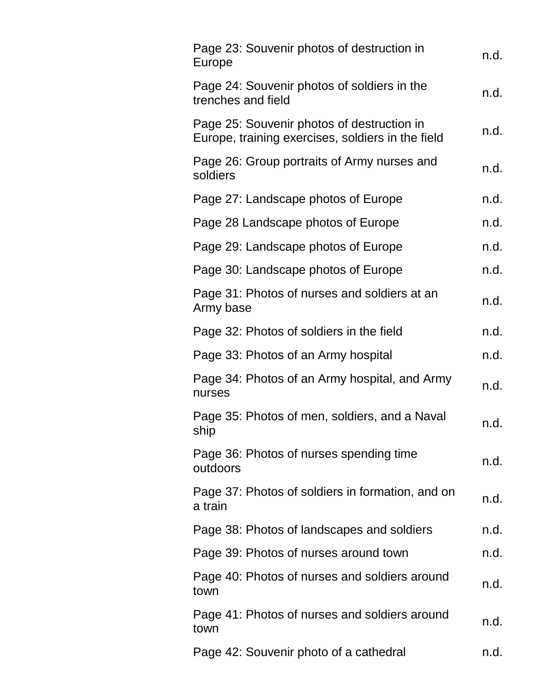| Page 23: Souvenir photos of destruction in<br>Europe                                            | n.d. |
|-------------------------------------------------------------------------------------------------|------|
| Page 24: Souvenir photos of soldiers in the<br>trenches and field                               | n.d. |
| Page 25: Souvenir photos of destruction in<br>Europe, training exercises, soldiers in the field | n.d. |
| Page 26: Group portraits of Army nurses and<br>soldiers                                         | n.d. |
| Page 27: Landscape photos of Europe                                                             | n.d. |
| Page 28 Landscape photos of Europe                                                              | n.d. |
| Page 29: Landscape photos of Europe                                                             | n.d. |
| Page 30: Landscape photos of Europe                                                             | n.d. |
| Page 31: Photos of nurses and soldiers at an<br>Army base                                       | n.d. |
| Page 32: Photos of soldiers in the field                                                        | n.d. |
| Page 33: Photos of an Army hospital                                                             | n.d. |
| Page 34: Photos of an Army hospital, and Army<br>nurses                                         | n.d. |
| Page 35: Photos of men, soldiers, and a Naval<br>ship                                           | n.d. |
| Page 36: Photos of nurses spending time<br>outdoors                                             | n.d. |
| Page 37: Photos of soldiers in formation, and on<br>a train                                     | n.d. |
| Page 38: Photos of landscapes and soldiers                                                      | n.d. |
| Page 39: Photos of nurses around town                                                           | n.d. |
| Page 40: Photos of nurses and soldiers around<br>town                                           | n.d. |
| Page 41: Photos of nurses and soldiers around<br>town                                           | n.d. |
| Page 42: Souvenir photo of a cathedral                                                          | n.d. |